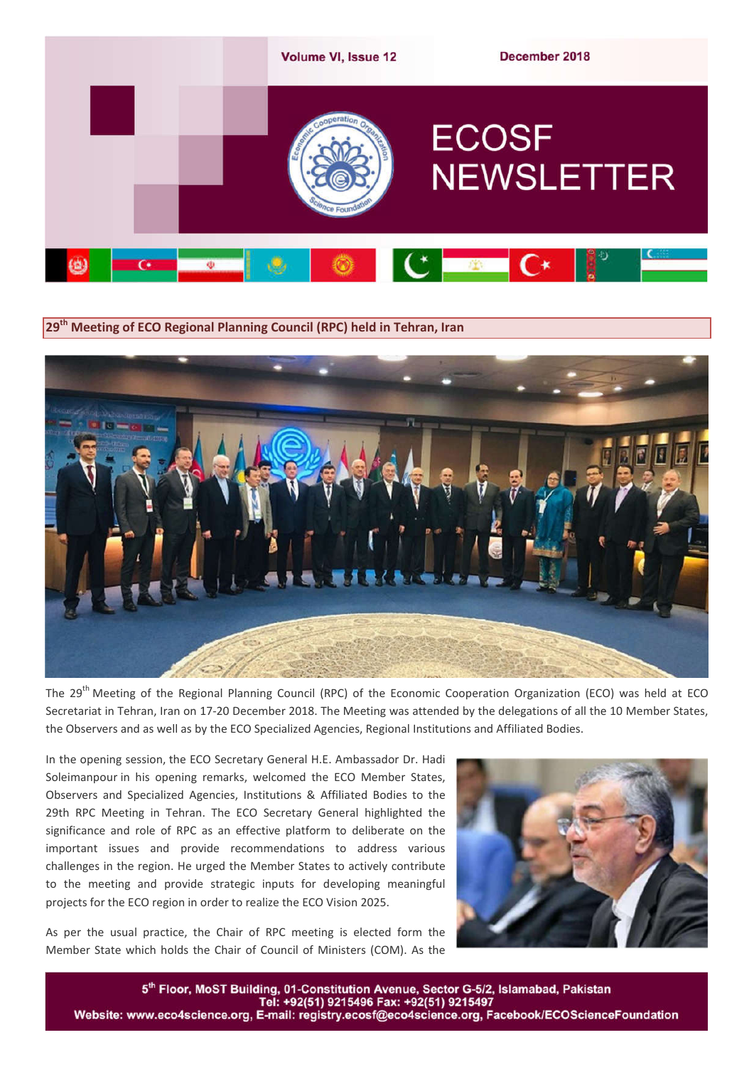

**29th Meeting of ECO Regional Planning Council (RPC) held in Tehran, Iran**



The 29<sup>th</sup> Meeting of the Regional Planning Council (RPC) of the Economic Cooperation Organization (ECO) was held at ECO Secretariat in Tehran, Iran on 17-20 December 2018. The Meeting was attended by the delegations of all the 10 Member States, the Observers and as well as by the ECO Specialized Agencies, Regional Institutions and Affiliated Bodies.

In the opening session, the ECO Secretary General H.E. Ambassador Dr. Hadi Soleimanpour in his opening remarks, welcomed the ECO Member States, Observers and Specialized Agencies, Institutions & Affiliated Bodies to the 29th RPC Meeting in Tehran. The ECO Secretary General highlighted the significance and role of RPC as an effective platform to deliberate on the important issues and provide recommendations to address various challenges in the region. He urged the Member States to actively contribute to the meeting and provide strategic inputs for developing meaningful projects for the ECO region in order to realize the ECO Vision 2025.

As per the usual practice, the Chair of RPC meeting is elected form the Member State which holds the Chair of Council of Ministers (COM). As the

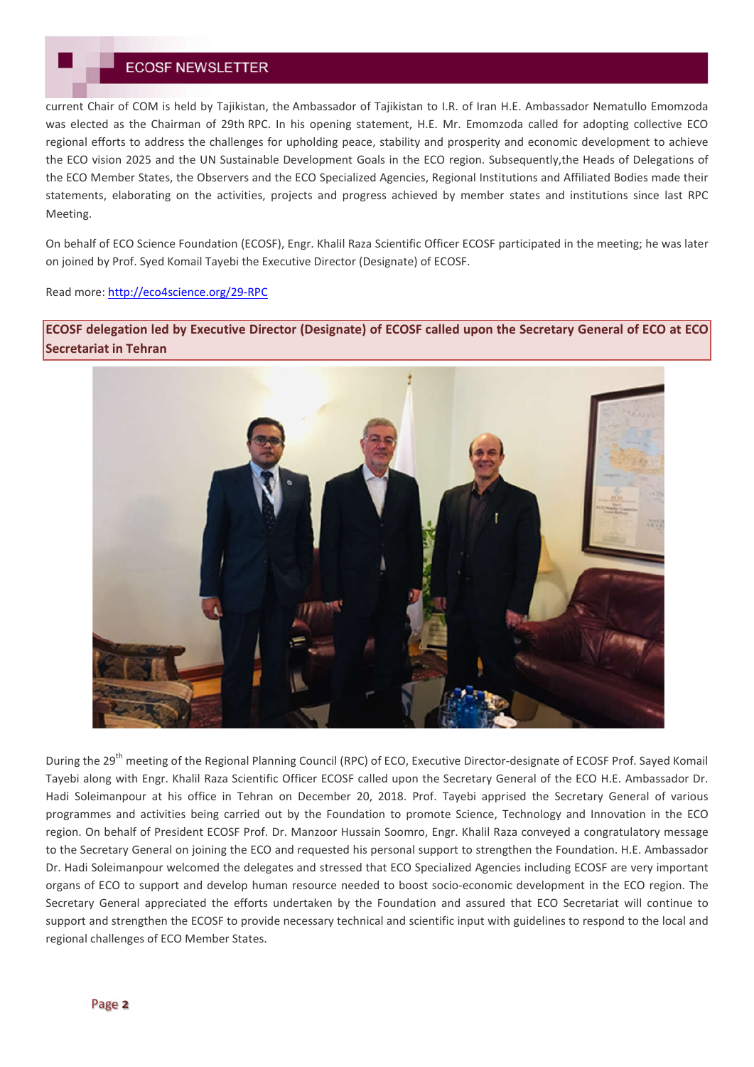current Chair of COM is held by Tajikistan, the Ambassador of Tajikistan to I.R. of Iran H.E. Ambassador Nematullo Emomzoda was elected as the Chairman of 29th RPC. In his opening statement, H.E. Mr. Emomzoda called for adopting collective ECO regional efforts to address the challenges for upholding peace, stability and prosperity and economic development to achieve the ECO vision 2025 and the UN Sustainable Development Goals in the ECO region. Subsequently,the Heads of Delegations of the ECO Member States, the Observers and the ECO Specialized Agencies, Regional Institutions and Affiliated Bodies made their statements, elaborating on the activities, projects and progress achieved by member states and institutions since last RPC Meeting.

On behalf of ECO Science Foundation (ECOSF), Engr. Khalil Raza Scientific Officer ECOSF participated in the meeting; he was later on joined by Prof. Syed Komail Tayebi the Executive Director (Designate) of ECOSF.

Read more: http://eco4science.org/29-RPC

**ECOSF delegation led by Executive Director (Designate) of ECOSF called upon the Secretary General of ECO at ECO Secretariat in Tehran**



During the 29<sup>th</sup> meeting of the Regional Planning Council (RPC) of ECO, Executive Director-designate of ECOSF Prof. Sayed Komail Tayebi along with Engr. Khalil Raza Scientific Officer ECOSF called upon the Secretary General of the ECO H.E. Ambassador Dr. Hadi Soleimanpour at his office in Tehran on December 20, 2018. Prof. Tayebi apprised the Secretary General of various programmes and activities being carried out by the Foundation to promote Science, Technology and Innovation in the ECO region. On behalf of President ECOSF Prof. Dr. Manzoor Hussain Soomro, Engr. Khalil Raza conveyed a congratulatory message to the Secretary General on joining the ECO and requested his personal support to strengthen the Foundation. H.E. Ambassador Dr. Hadi Soleimanpour welcomed the delegates and stressed that ECO Specialized Agencies including ECOSF are very important organs of ECO to support and develop human resource needed to boost socio-economic development in the ECO region. The Secretary General appreciated the efforts undertaken by the Foundation and assured that ECO Secretariat will continue to support and strengthen the ECOSF to provide necessary technical and scientific input with guidelines to respond to the local and regional challenges of ECO Member States.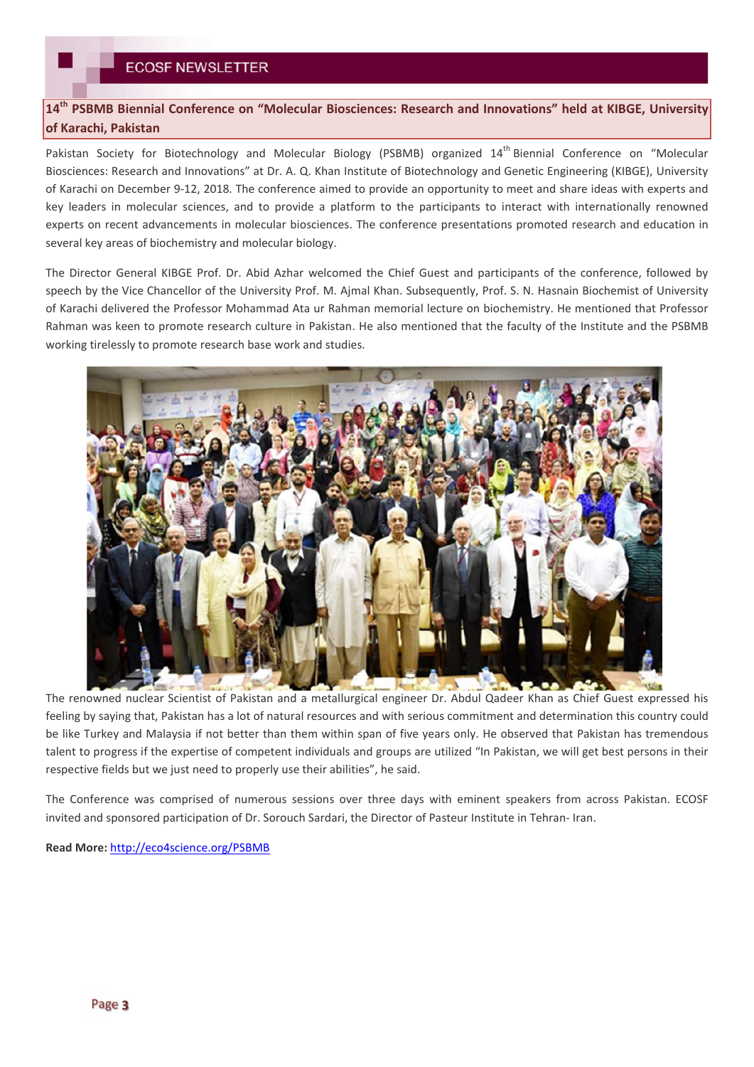**14th PSBMB Biennial Conference on "Molecular Biosciences: Research and Innovations" held at KIBGE, University of Karachi, Pakistan**

Pakistan Society for Biotechnology and Molecular Biology (PSBMB) organized 14<sup>th</sup> Biennial Conference on "Molecular Biosciences: Research and Innovations" at Dr. A. Q. Khan Institute of Biotechnology and Genetic Engineering (KIBGE), University of Karachi on December 9-12, 2018. The conference aimed to provide an opportunity to meet and share ideas with experts and key leaders in molecular sciences, and to provide a platform to the participants to interact with internationally renowned experts on recent advancements in molecular biosciences. The conference presentations promoted research and education in several key areas of biochemistry and molecular biology.

The Director General KIBGE Prof. Dr. Abid Azhar welcomed the Chief Guest and participants of the conference, followed by speech by the Vice Chancellor of the University Prof. M. Ajmal Khan. Subsequently, Prof. S. N. Hasnain Biochemist of University of Karachi delivered the Professor Mohammad Ata ur Rahman memorial lecture on biochemistry. He mentioned that Professor Rahman was keen to promote research culture in Pakistan. He also mentioned that the faculty of the Institute and the PSBMB working tirelessly to promote research base work and studies.



The renowned nuclear Scientist of Pakistan and a metallurgical engineer Dr. Abdul Qadeer Khan as Chief Guest expressed his feeling by saying that, Pakistan has a lot of natural resources and with serious commitment and determination this country could be like Turkey and Malaysia if not better than them within span of five years only. He observed that Pakistan has tremendous talent to progress if the expertise of competent individuals and groups are utilized "In Pakistan, we will get best persons in their respective fields but we just need to properly use their abilities", he said.

The Conference was comprised of numerous sessions over three days with eminent speakers from across Pakistan. ECOSF invited and sponsored participation of Dr. Sorouch Sardari, the Director of Pasteur Institute in Tehran- Iran.

**Read More:** http://eco4science.org/PSBMB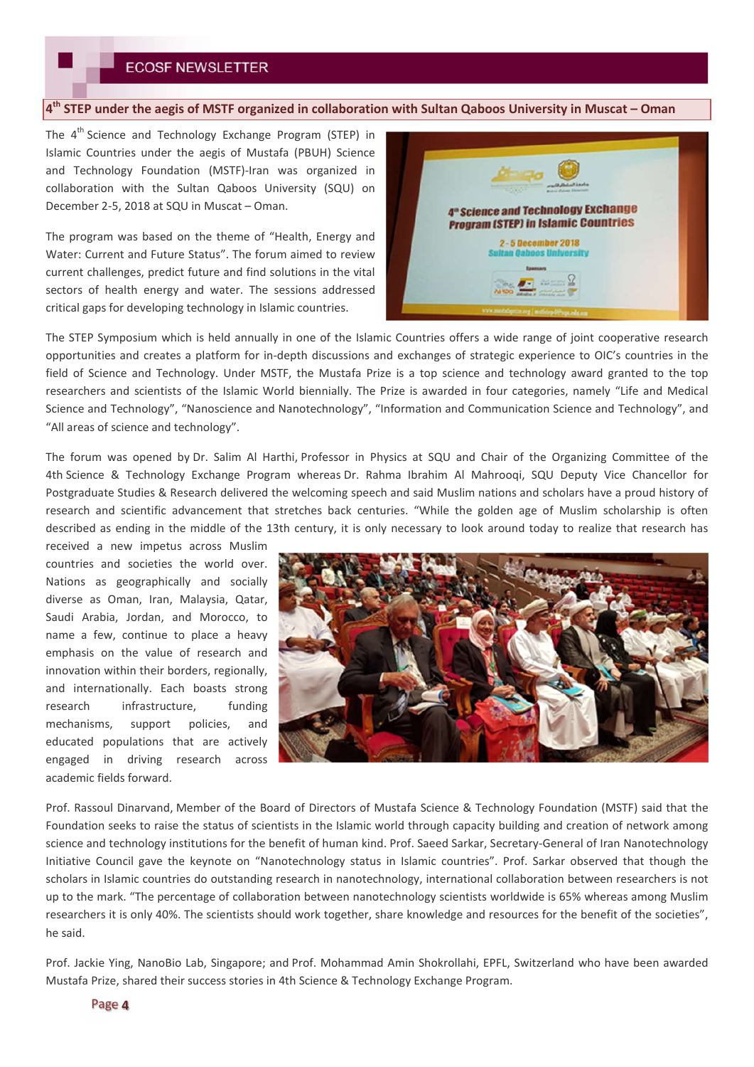## **4th STEP under the aegis of MSTF organized in collaboration with Sultan Qaboos University in Muscat – Oman**

The 4<sup>th</sup> Science and Technology Exchange Program (STEP) in Islamic Countries under the aegis of Mustafa (PBUH) Science and Technology Foundation (MSTF)-Iran was organized in collaboration with the Sultan Qaboos University (SQU) on December 2-5, 2018 at SQU in Muscat – Oman.

The program was based on the theme of "Health, Energy and Water: Current and Future Status". The forum aimed to review current challenges, predict future and find solutions in the vital sectors of health energy and water. The sessions addressed critical gaps for developing technology in Islamic countries.



The STEP Symposium which is held annually in one of the Islamic Countries offers a wide range of joint cooperative research opportunities and creates a platform for in-depth discussions and exchanges of strategic experience to OIC's countries in the field of Science and Technology. Under MSTF, the Mustafa Prize is a top science and technology award granted to the top researchers and scientists of the Islamic World biennially. The Prize is awarded in four categories, namely "Life and Medical Science and Technology", "Nanoscience and Nanotechnology", "Information and Communication Science and Technology", and "All areas of science and technology".

The forum was opened by Dr. Salim Al Harthi, Professor in Physics at SQU and Chair of the Organizing Committee of the 4th Science & Technology Exchange Program whereas Dr. Rahma Ibrahim Al Mahrooqi, SQU Deputy Vice Chancellor for Postgraduate Studies & Research delivered the welcoming speech and said Muslim nations and scholars have a proud history of research and scientific advancement that stretches back centuries. "While the golden age of Muslim scholarship is often described as ending in the middle of the 13th century, it is only necessary to look around today to realize that research has

received a new impetus across Muslim countries and societies the world over. Nations as geographically and socially diverse as Oman, Iran, Malaysia, Qatar, Saudi Arabia, Jordan, and Morocco, to name a few, continue to place a heavy emphasis on the value of research and innovation within their borders, regionally, and internationally. Each boasts strong research infrastructure, funding mechanisms, support policies, and educated populations that are actively engaged in driving research across academic fields forward.



Prof. Rassoul Dinarvand, Member of the Board of Directors of Mustafa Science & Technology Foundation (MSTF) said that the Foundation seeks to raise the status of scientists in the Islamic world through capacity building and creation of network among science and technology institutions for the benefit of human kind. Prof. Saeed Sarkar, Secretary-General of Iran Nanotechnology Initiative Council gave the keynote on "Nanotechnology status in Islamic countries". Prof. Sarkar observed that though the scholars in Islamic countries do outstanding research in nanotechnology, international collaboration between researchers is not up to the mark. "The percentage of collaboration between nanotechnology scientists worldwide is 65% whereas among Muslim researchers it is only 40%. The scientists should work together, share knowledge and resources for the benefit of the societies", he said.

Prof. Jackie Ying, NanoBio Lab, Singapore; and Prof. Mohammad Amin Shokrollahi, EPFL, Switzerland who have been awarded Mustafa Prize, shared their success stories in 4th Science & Technology Exchange Program.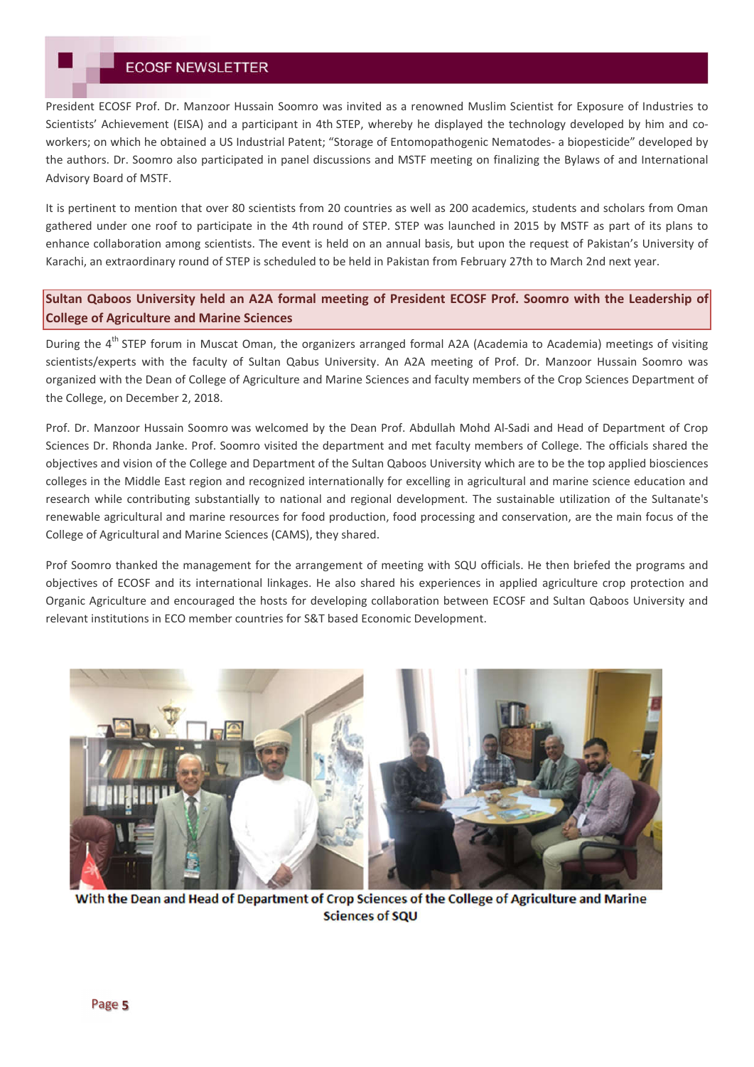President ECOSF Prof. Dr. Manzoor Hussain Soomro was invited as a renowned Muslim Scientist for Exposure of Industries to Scientists' Achievement (EISA) and a participant in 4th STEP, whereby he displayed the technology developed by him and coworkers; on which he obtained a US Industrial Patent; "Storage of Entomopathogenic Nematodes- a biopesticide" developed by the authors. Dr. Soomro also participated in panel discussions and MSTF meeting on finalizing the Bylaws of and International Advisory Board of MSTF.

It is pertinent to mention that over 80 scientists from 20 countries as well as 200 academics, students and scholars from Oman gathered under one roof to participate in the 4th round of STEP. STEP was launched in 2015 by MSTF as part of its plans to enhance collaboration among scientists. The event is held on an annual basis, but upon the request of Pakistan's University of Karachi, an extraordinary round of STEP is scheduled to be held in Pakistan from February 27th to March 2nd next year.

## **Sultan Qaboos University held an A2A formal meeting of President ECOSF Prof. Soomro with the Leadership of College of Agriculture and Marine Sciences**

During the 4<sup>th</sup> STEP forum in Muscat Oman, the organizers arranged formal A2A (Academia to Academia) meetings of visiting scientists/experts with the faculty of Sultan Qabus University. An A2A meeting of Prof. Dr. Manzoor Hussain Soomro was organized with the Dean of College of Agriculture and Marine Sciences and faculty members of the Crop Sciences Department of the College, on December 2, 2018.

Prof. Dr. Manzoor Hussain Soomro was welcomed by the Dean Prof. Abdullah Mohd Al-Sadi and Head of Department of Crop Sciences Dr. Rhonda Janke. Prof. Soomro visited the department and met faculty members of College. The officials shared the objectives and vision of the College and Department of the Sultan Qaboos University which are to be the top applied biosciences colleges in the Middle East region and recognized internationally for excelling in agricultural and marine science education and research while contributing substantially to national and regional development. The sustainable utilization of the Sultanate's renewable agricultural and marine resources for food production, food processing and conservation, are the main focus of the College of Agricultural and Marine Sciences (CAMS), they shared.

Prof Soomro thanked the management for the arrangement of meeting with SQU officials. He then briefed the programs and objectives of ECOSF and its international linkages. He also shared his experiences in applied agriculture crop protection and Organic Agriculture and encouraged the hosts for developing collaboration between ECOSF and Sultan Qaboos University and relevant institutions in ECO member countries for S&T based Economic Development.



With the Dean and Head of Department of Crop Sciences of the College of Agriculture and Marine **Sciences of SQU**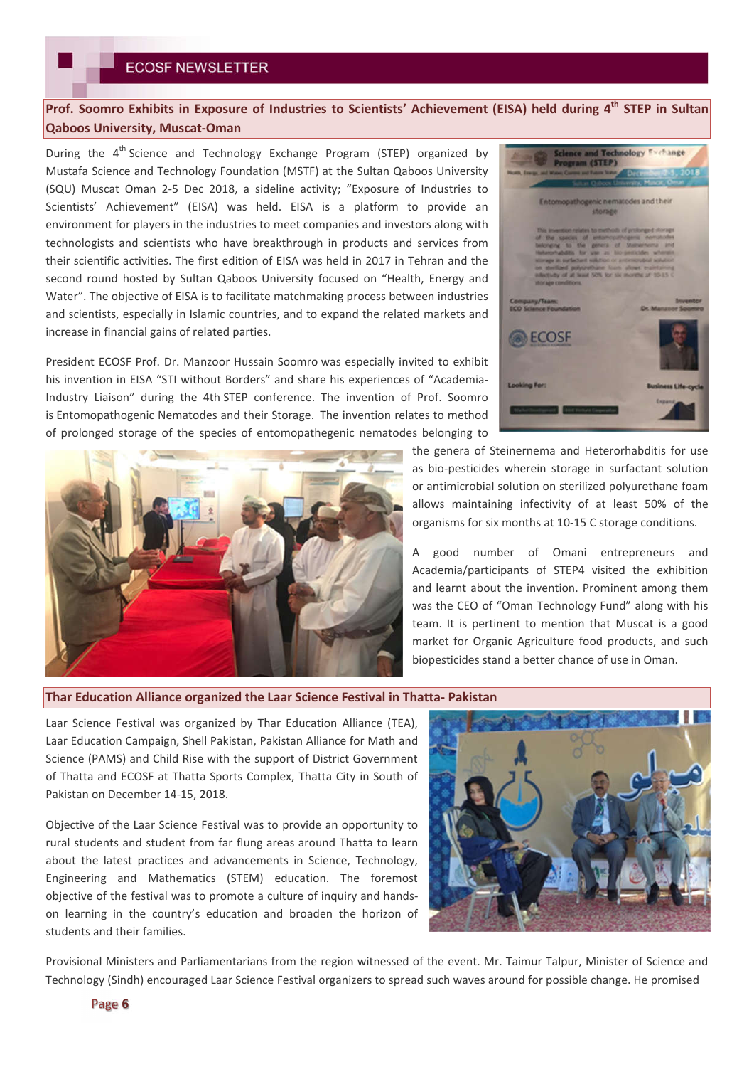# **Prof. Soomro Exhibits in Exposure of Industries to Scientists' Achievement (EISA) held during 4th STEP in Sultan Qaboos University, Muscat-Oman**

During the 4<sup>th</sup> Science and Technology Exchange Program (STEP) organized by Mustafa Science and Technology Foundation (MSTF) at the Sultan Qaboos University (SQU) Muscat Oman 2-5 Dec 2018, a sideline activity; "Exposure of Industries to Scientists' Achievement" (EISA) was held. EISA is a platform to provide an environment for players in the industries to meet companies and investors along with technologists and scientists who have breakthrough in products and services from their scientific activities. The first edition of EISA was held in 2017 in Tehran and the second round hosted by Sultan Qaboos University focused on "Health, Energy and Water". The objective of EISA is to facilitate matchmaking process between industries and scientists, especially in Islamic countries, and to expand the related markets and increase in financial gains of related parties.

President ECOSF Prof. Dr. Manzoor Hussain Soomro was especially invited to exhibit his invention in EISA "STI without Borders" and share his experiences of "Academia-Industry Liaison" during the 4th STEP conference. The invention of Prof. Soomro is Entomopathogenic Nematodes and their Storage. The invention relates to method of prolonged storage of the species of entomopathegenic nematodes belonging to



in magnitudes and their

the genera of Steinernema and Heterorhabditis for use as bio-pesticides wherein storage in surfactant solution or antimicrobial solution on sterilized polyurethane foam allows maintaining infectivity of at least 50% of the organisms for six months at 10-15 C storage conditions.

A good number of Omani entrepreneurs and Academia/participants of STEP4 visited the exhibition and learnt about the invention. Prominent among them was the CEO of "Oman Technology Fund" along with his team. It is pertinent to mention that Muscat is a good market for Organic Agriculture food products, and such biopesticides stand a better chance of use in Oman.

#### **Thar Education Alliance organized the Laar Science Festival in Thatta- Pakistan**

Laar Science Festival was organized by Thar Education Alliance (TEA), Laar Education Campaign, Shell Pakistan, Pakistan Alliance for Math and Science (PAMS) and Child Rise with the support of District Government of Thatta and ECOSF at Thatta Sports Complex, Thatta City in South of Pakistan on December 14-15, 2018.

Objective of the Laar Science Festival was to provide an opportunity to rural students and student from far flung areas around Thatta to learn about the latest practices and advancements in Science, Technology, Engineering and Mathematics (STEM) education. The foremost objective of the festival was to promote a culture of inquiry and handson learning in the country's education and broaden the horizon of students and their families.



Provisional Ministers and Parliamentarians from the region witnessed of the event. Mr. Taimur Talpur, Minister of Science and Technology (Sindh) encouraged Laar Science Festival organizers to spread such waves around for possible change. He promised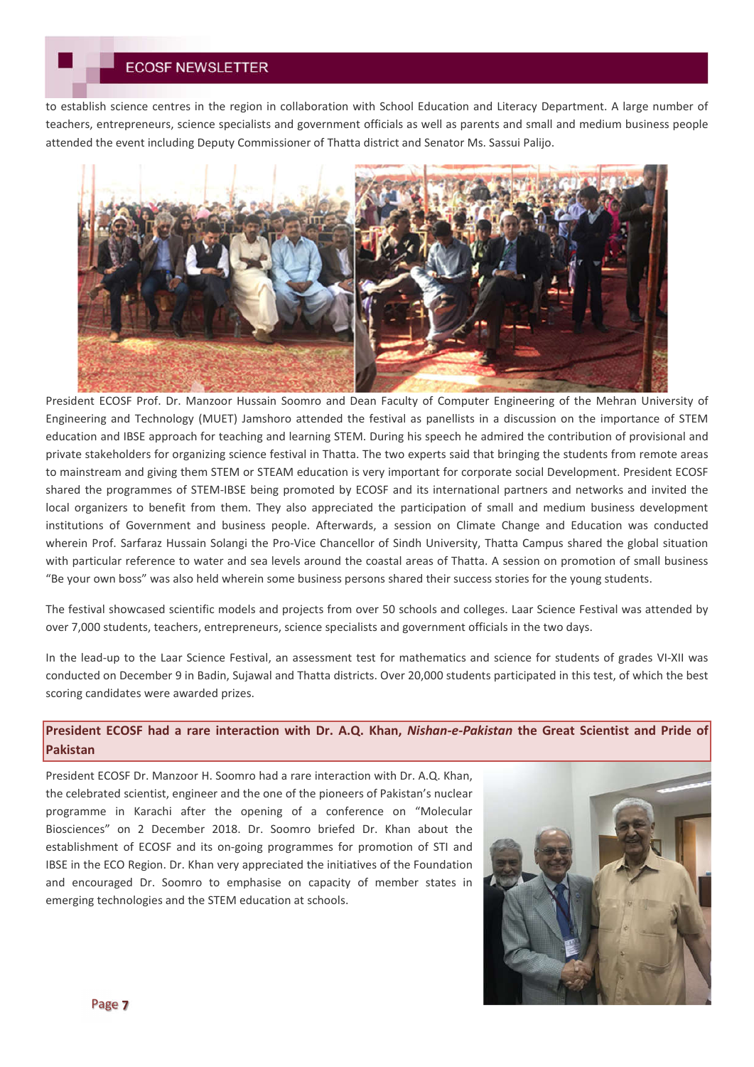to establish science centres in the region in collaboration with School Education and Literacy Department. A large number of teachers, entrepreneurs, science specialists and government officials as well as parents and small and medium business people attended the event including Deputy Commissioner of Thatta district and Senator Ms. Sassui Palijo.



President ECOSF Prof. Dr. Manzoor Hussain Soomro and Dean Faculty of Computer Engineering of the Mehran University of Engineering and Technology (MUET) Jamshoro attended the festival as panellists in a discussion on the importance of STEM education and IBSE approach for teaching and learning STEM. During his speech he admired the contribution of provisional and private stakeholders for organizing science festival in Thatta. The two experts said that bringing the students from remote areas to mainstream and giving them STEM or STEAM education is very important for corporate social Development. President ECOSF shared the programmes of STEM-IBSE being promoted by ECOSF and its international partners and networks and invited the local organizers to benefit from them. They also appreciated the participation of small and medium business development institutions of Government and business people. Afterwards, a session on Climate Change and Education was conducted wherein Prof. Sarfaraz Hussain Solangi the Pro-Vice Chancellor of Sindh University, Thatta Campus shared the global situation with particular reference to water and sea levels around the coastal areas of Thatta. A session on promotion of small business "Be your own boss" was also held wherein some business persons shared their success stories for the young students.

The festival showcased scientific models and projects from over 50 schools and colleges. Laar Science Festival was attended by over 7,000 students, teachers, entrepreneurs, science specialists and government officials in the two days.

In the lead-up to the Laar Science Festival, an assessment test for mathematics and science for students of grades VI-XII was conducted on December 9 in Badin, Sujawal and Thatta districts. Over 20,000 students participated in this test, of which the best scoring candidates were awarded prizes.

### **President ECOSF had a rare interaction with Dr. A.Q. Khan,** *Nishan-e-Pakistan* **the Great Scientist and Pride of Pakistan**

President ECOSF Dr. Manzoor H. Soomro had a rare interaction with Dr. A.Q. Khan, the celebrated scientist, engineer and the one of the pioneers of Pakistan's nuclear programme in Karachi after the opening of a conference on "Molecular Biosciences" on 2 December 2018. Dr. Soomro briefed Dr. Khan about the establishment of ECOSF and its on-going programmes for promotion of STI and IBSE in the ECO Region. Dr. Khan very appreciated the initiatives of the Foundation and encouraged Dr. Soomro to emphasise on capacity of member states in emerging technologies and the STEM education at schools.

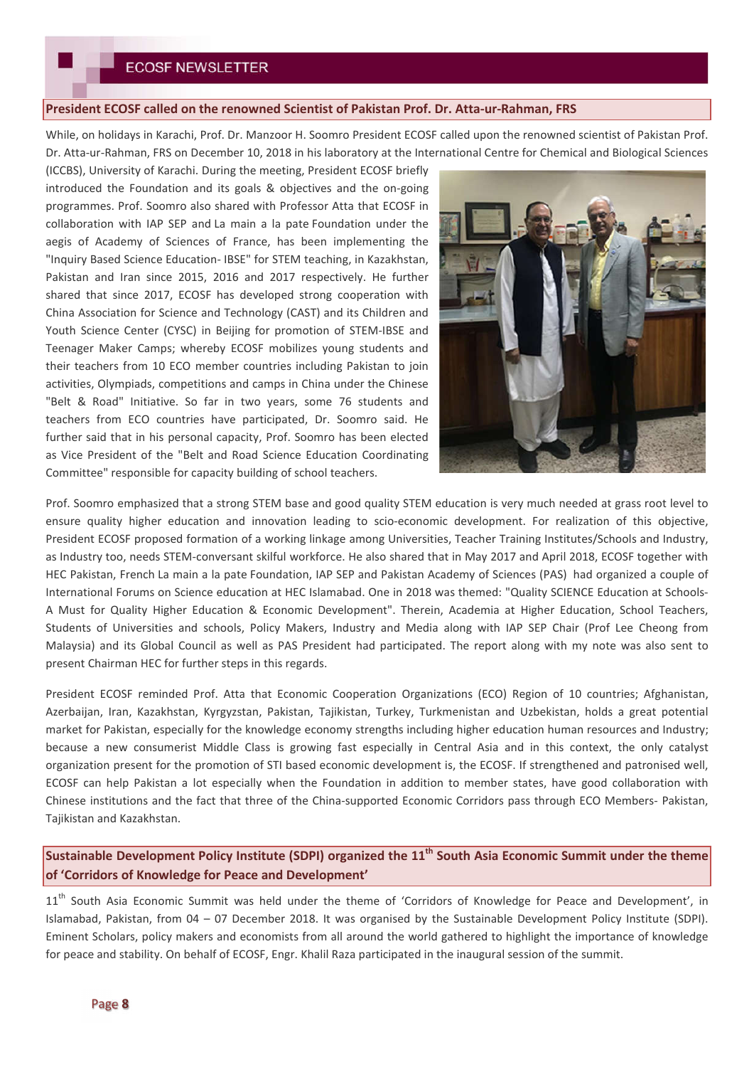### **President ECOSF called on the renowned Scientist of Pakistan Prof. Dr. Atta-ur-Rahman, FRS**

While, on holidays in Karachi, Prof. Dr. Manzoor H. Soomro President ECOSF called upon the renowned scientist of Pakistan Prof. Dr. Atta-ur-Rahman, FRS on December 10, 2018 in his laboratory at the International Centre for Chemical and Biological Sciences

(ICCBS), University of Karachi. During the meeting, President ECOSF briefly introduced the Foundation and its goals & objectives and the on-going programmes. Prof. Soomro also shared with Professor Atta that ECOSF in collaboration with IAP SEP and La main a la pate Foundation under the aegis of Academy of Sciences of France, has been implementing the "Inquiry Based Science Education- IBSE" for STEM teaching, in Kazakhstan, Pakistan and Iran since 2015, 2016 and 2017 respectively. He further shared that since 2017, ECOSF has developed strong cooperation with China Association for Science and Technology (CAST) and its Children and Youth Science Center (CYSC) in Beijing for promotion of STEM-IBSE and Teenager Maker Camps; whereby ECOSF mobilizes young students and their teachers from 10 ECO member countries including Pakistan to join activities, Olympiads, competitions and camps in China under the Chinese "Belt & Road" Initiative. So far in two years, some 76 students and teachers from ECO countries have participated, Dr. Soomro said. He further said that in his personal capacity, Prof. Soomro has been elected as Vice President of the "Belt and Road Science Education Coordinating Committee" responsible for capacity building of school teachers.



Prof. Soomro emphasized that a strong STEM base and good quality STEM education is very much needed at grass root level to ensure quality higher education and innovation leading to scio-economic development. For realization of this objective, President ECOSF proposed formation of a working linkage among Universities, Teacher Training Institutes/Schools and Industry, as Industry too, needs STEM-conversant skilful workforce. He also shared that in May 2017 and April 2018, ECOSF together with HEC Pakistan, French La main a la pate Foundation, IAP SEP and Pakistan Academy of Sciences (PAS) had organized a couple of International Forums on Science education at HEC Islamabad. One in 2018 was themed: "Quality SCIENCE Education at Schools-A Must for Quality Higher Education & Economic Development". Therein, Academia at Higher Education, School Teachers, Students of Universities and schools, Policy Makers, Industry and Media along with IAP SEP Chair (Prof Lee Cheong from Malaysia) and its Global Council as well as PAS President had participated. The report along with my note was also sent to present Chairman HEC for further steps in this regards.

President ECOSF reminded Prof. Atta that Economic Cooperation Organizations (ECO) Region of 10 countries; Afghanistan, Azerbaijan, Iran, Kazakhstan, Kyrgyzstan, Pakistan, Tajikistan, Turkey, Turkmenistan and Uzbekistan, holds a great potential market for Pakistan, especially for the knowledge economy strengths including higher education human resources and Industry; because a new consumerist Middle Class is growing fast especially in Central Asia and in this context, the only catalyst organization present for the promotion of STI based economic development is, the ECOSF. If strengthened and patronised well, ECOSF can help Pakistan a lot especially when the Foundation in addition to member states, have good collaboration with Chinese institutions and the fact that three of the China-supported Economic Corridors pass through ECO Members- Pakistan, Tajikistan and Kazakhstan.

**Sustainable Development Policy Institute (SDPI) organized the 11th South Asia Economic Summit under the theme of 'Corridors of Knowledge for Peace and Development'**

11<sup>th</sup> South Asia Economic Summit was held under the theme of 'Corridors of Knowledge for Peace and Development', in Islamabad, Pakistan, from 04 – 07 December 2018. It was organised by the Sustainable Development Policy Institute (SDPI). Eminent Scholars, policy makers and economists from all around the world gathered to highlight the importance of knowledge for peace and stability. On behalf of ECOSF, Engr. Khalil Raza participated in the inaugural session of the summit.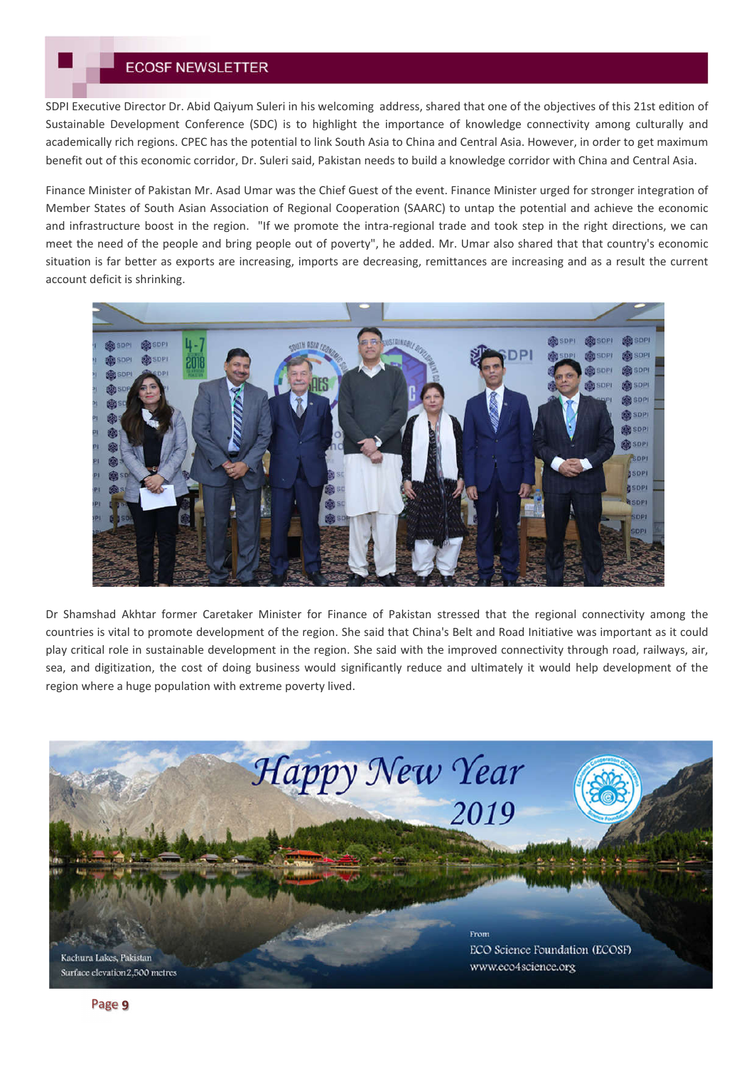SDPI Executive Director Dr. Abid Qaiyum Suleri in his welcoming address, shared that one of the objectives of this 21st edition of Sustainable Development Conference (SDC) is to highlight the importance of knowledge connectivity among culturally and academically rich regions. CPEC has the potential to link South Asia to China and Central Asia. However, in order to get maximum benefit out of this economic corridor, Dr. Suleri said, Pakistan needs to build a knowledge corridor with China and Central Asia.

Finance Minister of Pakistan Mr. Asad Umar was the Chief Guest of the event. Finance Minister urged for stronger integration of Member States of South Asian Association of Regional Cooperation (SAARC) to untap the potential and achieve the economic and infrastructure boost in the region. "If we promote the intra-regional trade and took step in the right directions, we can meet the need of the people and bring people out of poverty", he added. Mr. Umar also shared that that country's economic situation is far better as exports are increasing, imports are decreasing, remittances are increasing and as a result the current account deficit is shrinking.



Dr Shamshad Akhtar former Caretaker Minister for Finance of Pakistan stressed that the regional connectivity among the countries is vital to promote development of the region. She said that China's Belt and Road Initiative was important as it could play critical role in sustainable development in the region. She said with the improved connectivity through road, railways, air, sea, and digitization, the cost of doing business would significantly reduce and ultimately it would help development of the region where a huge population with extreme poverty lived.



Page 9